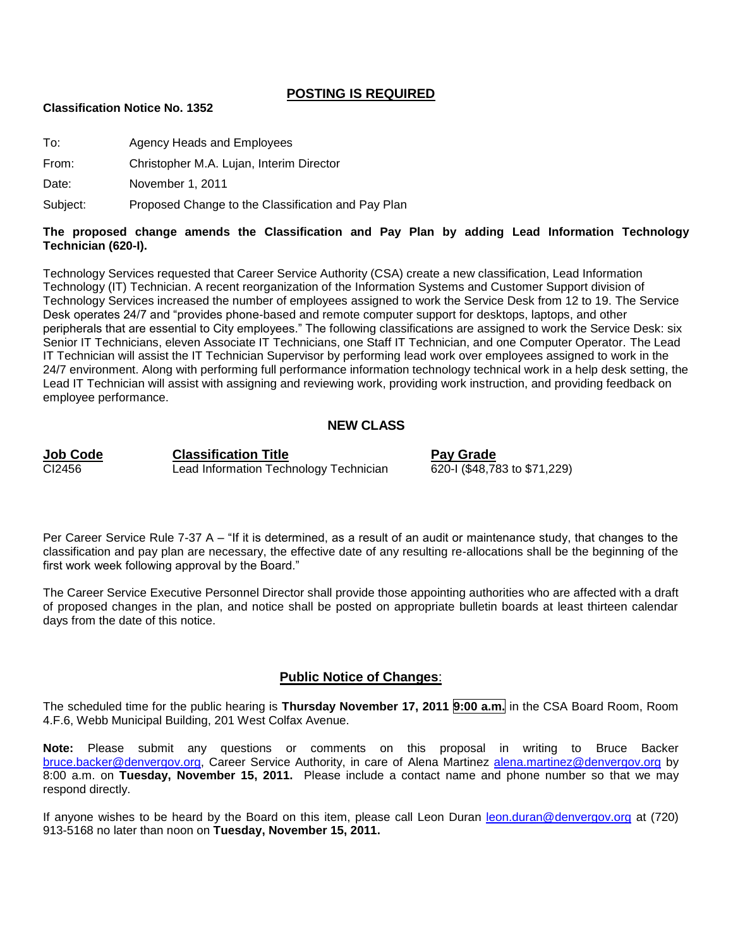#### **POSTING IS REQUIRED**

#### **Classification Notice No. 1352**

To: Agency Heads and Employees

From: Christopher M.A. Lujan, Interim Director

Date: November 1, 2011

Subject: Proposed Change to the Classification and Pay Plan

#### **The proposed change amends the Classification and Pay Plan by adding Lead Information Technology Technician (620-I).**

Technology Services requested that Career Service Authority (CSA) create a new classification, Lead Information Technology (IT) Technician. A recent reorganization of the Information Systems and Customer Support division of Technology Services increased the number of employees assigned to work the Service Desk from 12 to 19. The Service Desk operates 24/7 and "provides phone-based and remote computer support for desktops, laptops, and other peripherals that are essential to City employees." The following classifications are assigned to work the Service Desk: six Senior IT Technicians, eleven Associate IT Technicians, one Staff IT Technician, and one Computer Operator. The Lead IT Technician will assist the IT Technician Supervisor by performing lead work over employees assigned to work in the 24/7 environment. Along with performing full performance information technology technical work in a help desk setting, the Lead IT Technician will assist with assigning and reviewing work, providing work instruction, and providing feedback on employee performance.

#### **NEW CLASS**

**Job Code Classification Title Pay Grade** CI2456 **Lead Information Technology Technician** 

Per Career Service Rule 7-37 A – "If it is determined, as a result of an audit or maintenance study, that changes to the classification and pay plan are necessary, the effective date of any resulting re-allocations shall be the beginning of the first work week following approval by the Board."

The Career Service Executive Personnel Director shall provide those appointing authorities who are affected with a draft of proposed changes in the plan, and notice shall be posted on appropriate bulletin boards at least thirteen calendar days from the date of this notice.

#### **Public Notice of Changes**:

The scheduled time for the public hearing is **Thursday November 17, 2011 9:00 a.m.** in the CSA Board Room, Room 4.F.6, Webb Municipal Building, 201 West Colfax Avenue.

**Note:** Please submit any questions or comments on this proposal in writing to Bruce Backer [bruce.backer@denvergov.org,](mailto:bruce.backer@denvergov.org) Career Service Authority, in care of Alena Martinez [alena.martinez@denvergov.org](mailto:alena.martinez@denvergov.org) by 8:00 a.m. on **Tuesday, November 15, 2011.** Please include a contact name and phone number so that we may respond directly.

If anyone wishes to be heard by the Board on this item, please call Leon Duran [leon.duran@denvergov.org](mailto:leon.duran@denvergov.org) at (720) 913-5168 no later than noon on **Tuesday, November 15, 2011.**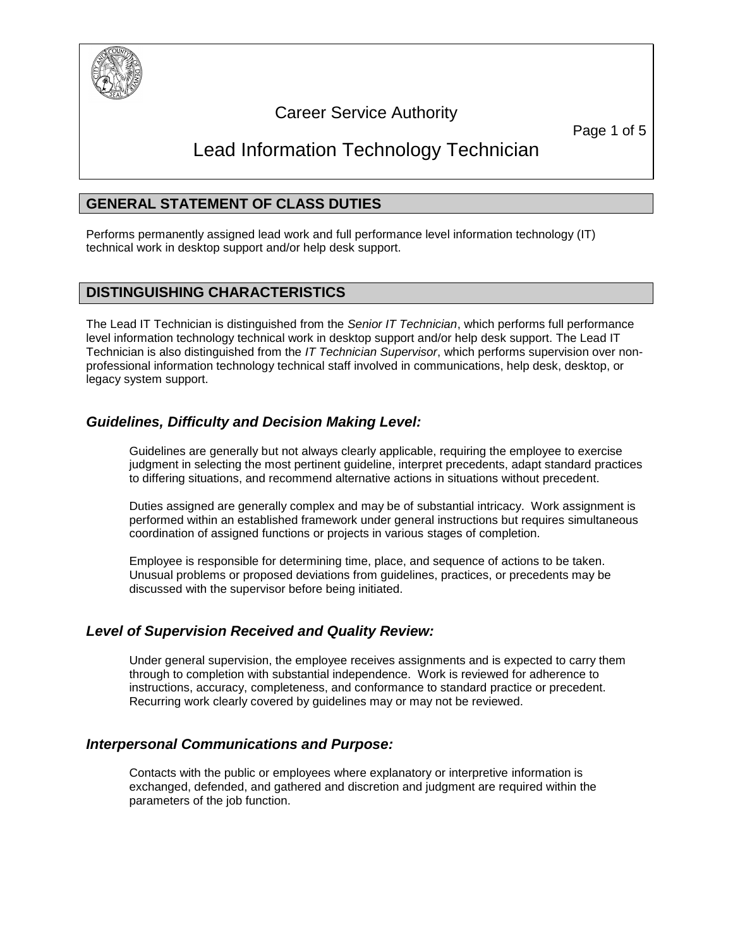

## Career Service Authority

Page 1 of 5

# Lead Information Technology Technician

## **GENERAL STATEMENT OF CLASS DUTIES**

Performs permanently assigned lead work and full performance level information technology (IT) technical work in desktop support and/or help desk support.

## **DISTINGUISHING CHARACTERISTICS**

The Lead IT Technician is distinguished from the *Senior IT Technician*, which performs full performance level information technology technical work in desktop support and/or help desk support. The Lead IT Technician is also distinguished from the *IT Technician Supervisor*, which performs supervision over nonprofessional information technology technical staff involved in communications, help desk, desktop, or legacy system support.

## *Guidelines, Difficulty and Decision Making Level:*

Guidelines are generally but not always clearly applicable, requiring the employee to exercise judgment in selecting the most pertinent guideline, interpret precedents, adapt standard practices to differing situations, and recommend alternative actions in situations without precedent.

Duties assigned are generally complex and may be of substantial intricacy. Work assignment is performed within an established framework under general instructions but requires simultaneous coordination of assigned functions or projects in various stages of completion.

Employee is responsible for determining time, place, and sequence of actions to be taken. Unusual problems or proposed deviations from guidelines, practices, or precedents may be discussed with the supervisor before being initiated.

## *Level of Supervision Received and Quality Review:*

Under general supervision, the employee receives assignments and is expected to carry them through to completion with substantial independence. Work is reviewed for adherence to instructions, accuracy, completeness, and conformance to standard practice or precedent. Recurring work clearly covered by guidelines may or may not be reviewed.

## *Interpersonal Communications and Purpose:*

Contacts with the public or employees where explanatory or interpretive information is exchanged, defended, and gathered and discretion and judgment are required within the parameters of the job function.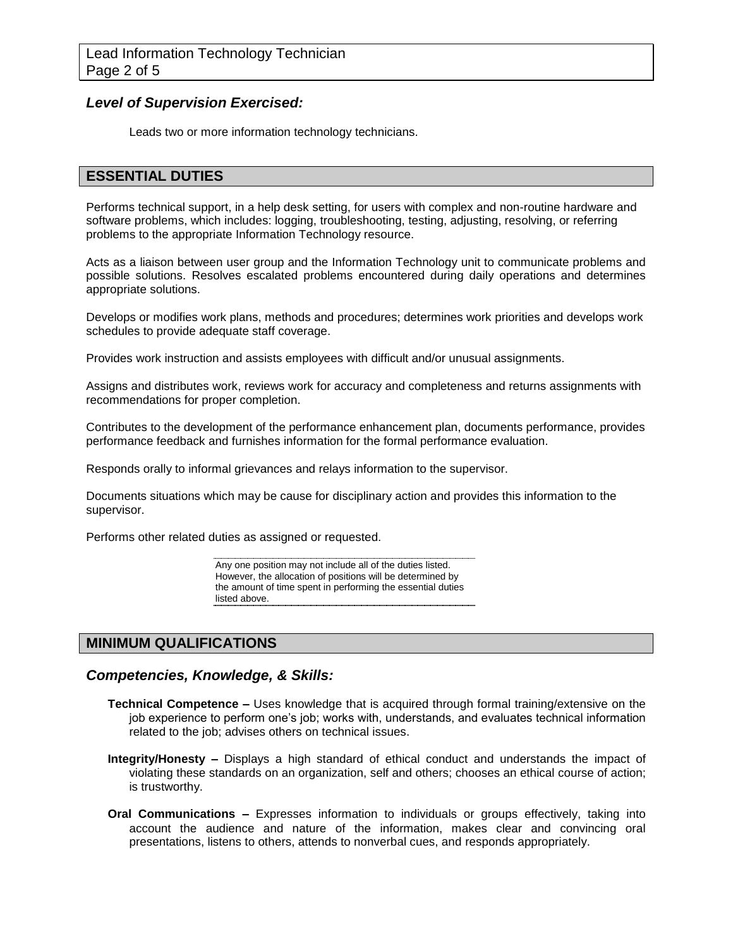#### *Level of Supervision Exercised:*

Leads two or more information technology technicians.

#### **ESSENTIAL DUTIES**

Performs technical support, in a help desk setting, for users with complex and non-routine hardware and software problems, which includes: logging, troubleshooting, testing, adjusting, resolving, or referring problems to the appropriate Information Technology resource.

Acts as a liaison between user group and the Information Technology unit to communicate problems and possible solutions. Resolves escalated problems encountered during daily operations and determines appropriate solutions.

Develops or modifies work plans, methods and procedures; determines work priorities and develops work schedules to provide adequate staff coverage.

Provides work instruction and assists employees with difficult and/or unusual assignments.

Assigns and distributes work, reviews work for accuracy and completeness and returns assignments with recommendations for proper completion.

Contributes to the development of the performance enhancement plan, documents performance, provides performance feedback and furnishes information for the formal performance evaluation.

Responds orally to informal grievances and relays information to the supervisor.

Documents situations which may be cause for disciplinary action and provides this information to the supervisor.

Performs other related duties as assigned or requested.

Any one position may not include all of the duties listed. However, the allocation of positions will be determined by the amount of time spent in performing the essential duties listed above.

## **MINIMUM QUALIFICATIONS**

#### *Competencies, Knowledge, & Skills:*

- **Technical Competence –** Uses knowledge that is acquired through formal training/extensive on the job experience to perform one's job; works with, understands, and evaluates technical information related to the job; advises others on technical issues.
- **Integrity/Honesty –** Displays a high standard of ethical conduct and understands the impact of violating these standards on an organization, self and others; chooses an ethical course of action; is trustworthy.
- **Oral Communications –** Expresses information to individuals or groups effectively, taking into account the audience and nature of the information, makes clear and convincing oral presentations, listens to others, attends to nonverbal cues, and responds appropriately.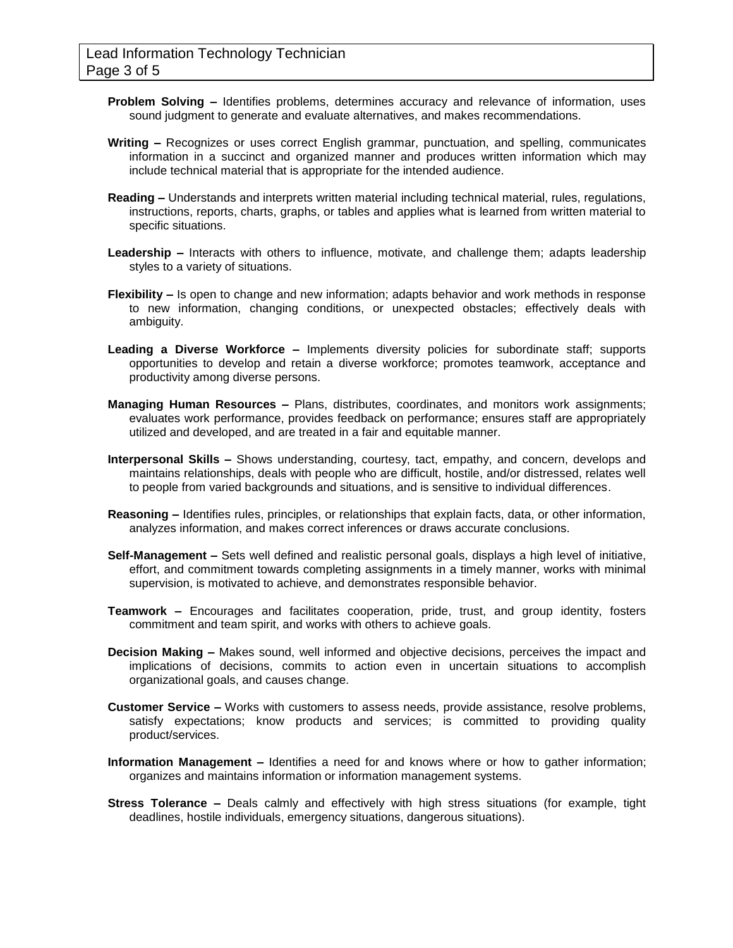- **Problem Solving –** Identifies problems, determines accuracy and relevance of information, uses sound judgment to generate and evaluate alternatives, and makes recommendations.
- **Writing –** Recognizes or uses correct English grammar, punctuation, and spelling, communicates information in a succinct and organized manner and produces written information which may include technical material that is appropriate for the intended audience.
- **Reading –** Understands and interprets written material including technical material, rules, regulations, instructions, reports, charts, graphs, or tables and applies what is learned from written material to specific situations.
- **Leadership –** Interacts with others to influence, motivate, and challenge them; adapts leadership styles to a variety of situations.
- **Flexibility –** Is open to change and new information; adapts behavior and work methods in response to new information, changing conditions, or unexpected obstacles; effectively deals with ambiguity.
- **Leading a Diverse Workforce –** Implements diversity policies for subordinate staff; supports opportunities to develop and retain a diverse workforce; promotes teamwork, acceptance and productivity among diverse persons.
- **Managing Human Resources –** Plans, distributes, coordinates, and monitors work assignments; evaluates work performance, provides feedback on performance; ensures staff are appropriately utilized and developed, and are treated in a fair and equitable manner.
- **Interpersonal Skills –** Shows understanding, courtesy, tact, empathy, and concern, develops and maintains relationships, deals with people who are difficult, hostile, and/or distressed, relates well to people from varied backgrounds and situations, and is sensitive to individual differences.
- **Reasoning –** Identifies rules, principles, or relationships that explain facts, data, or other information, analyzes information, and makes correct inferences or draws accurate conclusions.
- **Self-Management –** Sets well defined and realistic personal goals, displays a high level of initiative, effort, and commitment towards completing assignments in a timely manner, works with minimal supervision, is motivated to achieve, and demonstrates responsible behavior.
- **Teamwork –** Encourages and facilitates cooperation, pride, trust, and group identity, fosters commitment and team spirit, and works with others to achieve goals.
- **Decision Making –** Makes sound, well informed and objective decisions, perceives the impact and implications of decisions, commits to action even in uncertain situations to accomplish organizational goals, and causes change.
- **Customer Service –** Works with customers to assess needs, provide assistance, resolve problems, satisfy expectations; know products and services; is committed to providing quality product/services.
- **Information Management –** Identifies a need for and knows where or how to gather information; organizes and maintains information or information management systems.
- **Stress Tolerance –** Deals calmly and effectively with high stress situations (for example, tight deadlines, hostile individuals, emergency situations, dangerous situations).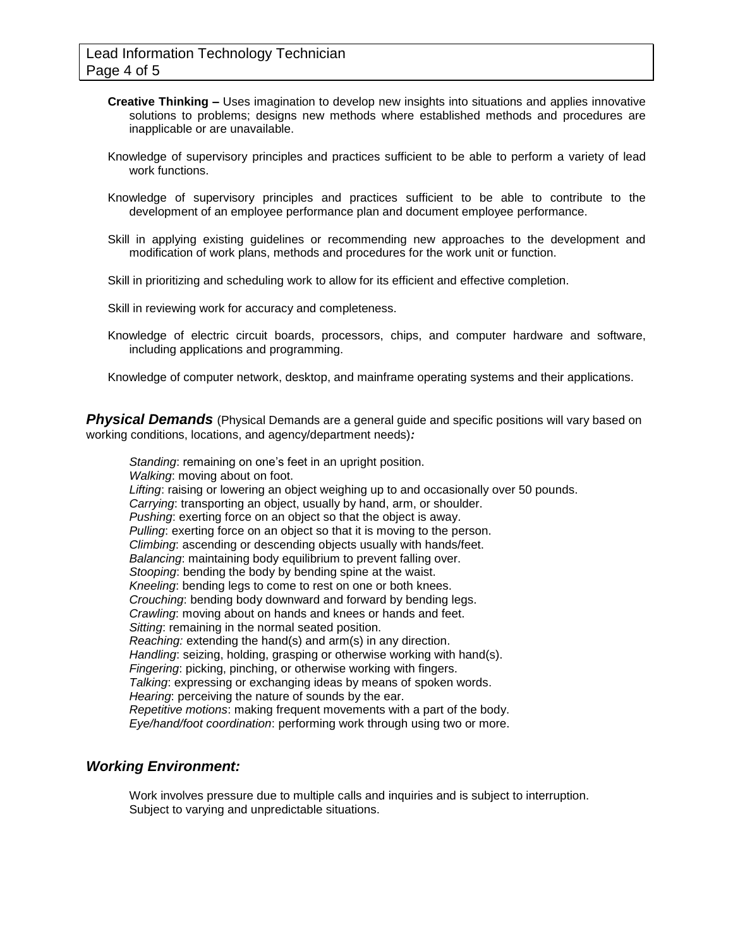- **Creative Thinking –** Uses imagination to develop new insights into situations and applies innovative solutions to problems; designs new methods where established methods and procedures are inapplicable or are unavailable.
- Knowledge of supervisory principles and practices sufficient to be able to perform a variety of lead work functions.
- Knowledge of supervisory principles and practices sufficient to be able to contribute to the development of an employee performance plan and document employee performance.
- Skill in applying existing guidelines or recommending new approaches to the development and modification of work plans, methods and procedures for the work unit or function.
- Skill in prioritizing and scheduling work to allow for its efficient and effective completion.

Skill in reviewing work for accuracy and completeness.

Knowledge of electric circuit boards, processors, chips, and computer hardware and software, including applications and programming.

Knowledge of computer network, desktop, and mainframe operating systems and their applications.

**Physical Demands** (Physical Demands are a general guide and specific positions will vary based on working conditions, locations, and agency/department needs)*:*

*Standing*: remaining on one's feet in an upright position. *Walking*: moving about on foot. *Lifting*: raising or lowering an object weighing up to and occasionally over 50 pounds. *Carrying*: transporting an object, usually by hand, arm, or shoulder. *Pushing*: exerting force on an object so that the object is away. *Pulling*: exerting force on an object so that it is moving to the person. *Climbing*: ascending or descending objects usually with hands/feet. *Balancing*: maintaining body equilibrium to prevent falling over. *Stooping*: bending the body by bending spine at the waist. *Kneeling*: bending legs to come to rest on one or both knees. *Crouching*: bending body downward and forward by bending legs. *Crawling*: moving about on hands and knees or hands and feet. *Sitting*: remaining in the normal seated position. *Reaching:* extending the hand(s) and arm(s) in any direction. *Handling*: seizing, holding, grasping or otherwise working with hand(s). *Fingering*: picking, pinching, or otherwise working with fingers. *Talking*: expressing or exchanging ideas by means of spoken words. *Hearing*: perceiving the nature of sounds by the ear. *Repetitive motions*: making frequent movements with a part of the body. *Eye/hand/foot coordination*: performing work through using two or more.

#### *Working Environment:*

Work involves pressure due to multiple calls and inquiries and is subject to interruption. Subject to varying and unpredictable situations.